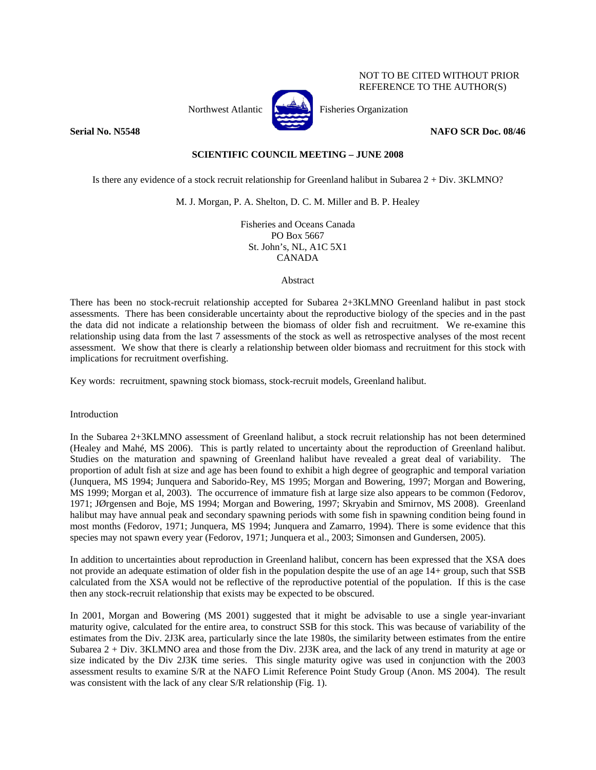

Northwest Atlantic  $\begin{bmatrix} 1 & 1 \\ 1 & 1 \end{bmatrix}$  Fisheries Organization

**Serial No. N5548** NAFO SCR Doc. 08/46

NOT TO BE CITED WITHOUT PRIOR REFERENCE TO THE AUTHOR(S)

# **SCIENTIFIC COUNCIL MEETING – JUNE 2008**

Is there any evidence of a stock recruit relationship for Greenland halibut in Subarea 2 + Div. 3KLMNO?

M. J. Morgan, P. A. Shelton, D. C. M. Miller and B. P. Healey

Fisheries and Oceans Canada PO Box 5667 St. John's, NL, A1C 5X1 CANADA

Abstract

There has been no stock-recruit relationship accepted for Subarea 2+3KLMNO Greenland halibut in past stock assessments. There has been considerable uncertainty about the reproductive biology of the species and in the past the data did not indicate a relationship between the biomass of older fish and recruitment. We re-examine this relationship using data from the last 7 assessments of the stock as well as retrospective analyses of the most recent assessment. We show that there is clearly a relationship between older biomass and recruitment for this stock with implications for recruitment overfishing.

Key words: recruitment, spawning stock biomass, stock-recruit models, Greenland halibut.

Introduction

In the Subarea 2+3KLMNO assessment of Greenland halibut, a stock recruit relationship has not been determined (Healey and Mahé, MS 2006). This is partly related to uncertainty about the reproduction of Greenland halibut. Studies on the maturation and spawning of Greenland halibut have revealed a great deal of variability. The proportion of adult fish at size and age has been found to exhibit a high degree of geographic and temporal variation (Junquera, MS 1994; Junquera and Saborido-Rey, MS 1995; Morgan and Bowering, 1997; Morgan and Bowering, MS 1999; Morgan et al, 2003). The occurrence of immature fish at large size also appears to be common (Fedorov, 1971; JØrgensen and Boje, MS 1994; Morgan and Bowering, 1997; Skryabin and Smirnov, MS 2008). Greenland halibut may have annual peak and secondary spawning periods with some fish in spawning condition being found in most months (Fedorov, 1971; Junquera, MS 1994; Junquera and Zamarro, 1994). There is some evidence that this species may not spawn every year (Fedorov, 1971; Junquera et al., 2003; Simonsen and Gundersen, 2005).

In addition to uncertainties about reproduction in Greenland halibut, concern has been expressed that the XSA does not provide an adequate estimation of older fish in the population despite the use of an age 14+ group, such that SSB calculated from the XSA would not be reflective of the reproductive potential of the population. If this is the case then any stock-recruit relationship that exists may be expected to be obscured.

In 2001, Morgan and Bowering (MS 2001) suggested that it might be advisable to use a single year-invariant maturity ogive, calculated for the entire area, to construct SSB for this stock. This was because of variability of the estimates from the Div. 2J3K area, particularly since the late 1980s, the similarity between estimates from the entire Subarea 2 + Div. 3KLMNO area and those from the Div. 2J3K area, and the lack of any trend in maturity at age or size indicated by the Div 2J3K time series. This single maturity ogive was used in conjunction with the 2003 assessment results to examine S/R at the NAFO Limit Reference Point Study Group (Anon. MS 2004). The result was consistent with the lack of any clear S/R relationship (Fig. 1).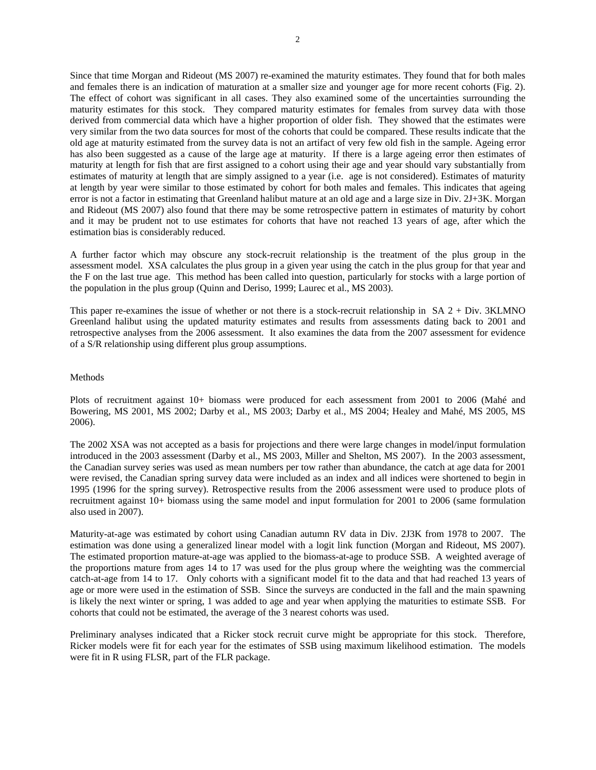Since that time Morgan and Rideout (MS 2007) re-examined the maturity estimates. They found that for both males and females there is an indication of maturation at a smaller size and younger age for more recent cohorts (Fig. 2). The effect of cohort was significant in all cases. They also examined some of the uncertainties surrounding the maturity estimates for this stock. They compared maturity estimates for females from survey data with those derived from commercial data which have a higher proportion of older fish. They showed that the estimates were very similar from the two data sources for most of the cohorts that could be compared. These results indicate that the old age at maturity estimated from the survey data is not an artifact of very few old fish in the sample. Ageing error has also been suggested as a cause of the large age at maturity. If there is a large ageing error then estimates of maturity at length for fish that are first assigned to a cohort using their age and year should vary substantially from estimates of maturity at length that are simply assigned to a year (i.e. age is not considered). Estimates of maturity at length by year were similar to those estimated by cohort for both males and females. This indicates that ageing error is not a factor in estimating that Greenland halibut mature at an old age and a large size in Div. 2J+3K. Morgan and Rideout (MS 2007) also found that there may be some retrospective pattern in estimates of maturity by cohort and it may be prudent not to use estimates for cohorts that have not reached 13 years of age, after which the estimation bias is considerably reduced.

A further factor which may obscure any stock-recruit relationship is the treatment of the plus group in the assessment model. XSA calculates the plus group in a given year using the catch in the plus group for that year and the F on the last true age. This method has been called into question, particularly for stocks with a large portion of the population in the plus group (Quinn and Deriso, 1999; Laurec et al., MS 2003).

This paper re-examines the issue of whether or not there is a stock-recruit relationship in SA 2 + Div. 3KLMNO Greenland halibut using the updated maturity estimates and results from assessments dating back to 2001 and retrospective analyses from the 2006 assessment. It also examines the data from the 2007 assessment for evidence of a S/R relationship using different plus group assumptions.

# Methods

Plots of recruitment against 10+ biomass were produced for each assessment from 2001 to 2006 (Mahé and Bowering, MS 2001, MS 2002; Darby et al., MS 2003; Darby et al., MS 2004; Healey and Mahé, MS 2005, MS 2006).

The 2002 XSA was not accepted as a basis for projections and there were large changes in model/input formulation introduced in the 2003 assessment (Darby et al., MS 2003, Miller and Shelton, MS 2007). In the 2003 assessment, the Canadian survey series was used as mean numbers per tow rather than abundance, the catch at age data for 2001 were revised, the Canadian spring survey data were included as an index and all indices were shortened to begin in 1995 (1996 for the spring survey). Retrospective results from the 2006 assessment were used to produce plots of recruitment against 10+ biomass using the same model and input formulation for 2001 to 2006 (same formulation also used in 2007).

Maturity-at-age was estimated by cohort using Canadian autumn RV data in Div. 2J3K from 1978 to 2007. The estimation was done using a generalized linear model with a logit link function (Morgan and Rideout, MS 2007). The estimated proportion mature-at-age was applied to the biomass-at-age to produce SSB. A weighted average of the proportions mature from ages 14 to 17 was used for the plus group where the weighting was the commercial catch-at-age from 14 to 17. Only cohorts with a significant model fit to the data and that had reached 13 years of age or more were used in the estimation of SSB. Since the surveys are conducted in the fall and the main spawning is likely the next winter or spring, 1 was added to age and year when applying the maturities to estimate SSB. For cohorts that could not be estimated, the average of the 3 nearest cohorts was used.

Preliminary analyses indicated that a Ricker stock recruit curve might be appropriate for this stock. Therefore, Ricker models were fit for each year for the estimates of SSB using maximum likelihood estimation. The models were fit in R using FLSR, part of the FLR package.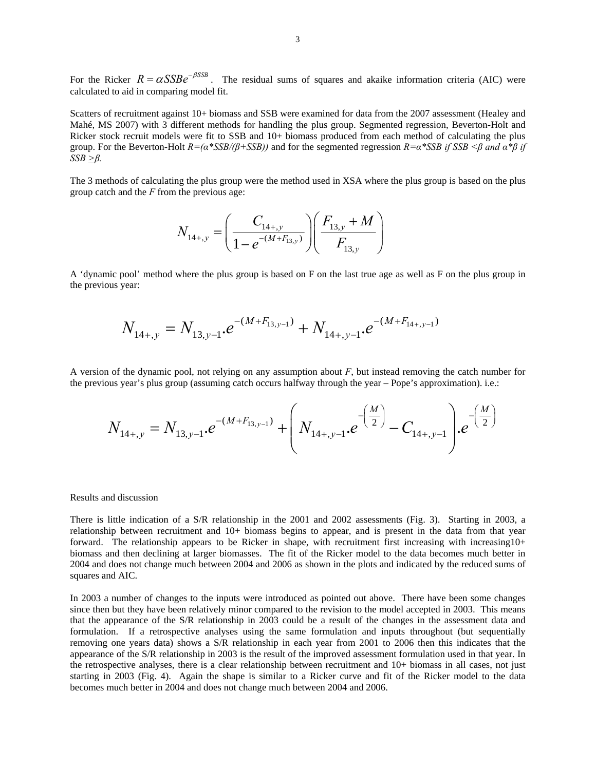For the Ricker  $R = \alpha S S B e^{-\beta S S B}$ . The residual sums of squares and akaike information criteria (AIC) were calculated to aid in comparing model fit.

Scatters of recruitment against 10+ biomass and SSB were examined for data from the 2007 assessment (Healey and Mahé, MS 2007) with 3 different methods for handling the plus group. Segmented regression, Beverton-Holt and Ricker stock recruit models were fit to SSB and 10+ biomass produced from each method of calculating the plus group. For the Beverton-Holt *R=(α\*SSB/(β+SSB))* and for the segmented regression *R=α\*SSB if SSB <β and α\*β if SSB >β.*

The 3 methods of calculating the plus group were the method used in XSA where the plus group is based on the plus group catch and the *F* from the previous age:

$$
N_{14+,y} = \left(\frac{C_{14+,y}}{1 - e^{-(M+F_{13,y})}}\right) \left(\frac{F_{13,y} + M}{F_{13,y}}\right)
$$

A 'dynamic pool' method where the plus group is based on F on the last true age as well as F on the plus group in the previous year:

$$
N_{14+,y} = N_{13,y-1} \cdot e^{-(M+F_{13,y-1})} + N_{14+,y-1} \cdot e^{-(M+F_{14+,y-1})}
$$

A version of the dynamic pool, not relying on any assumption about *F*, but instead removing the catch number for the previous year's plus group (assuming catch occurs halfway through the year – Pope's approximation). i.e.:

$$
N_{14+,y} = N_{13,y-1} \cdot e^{-(M+F_{13,y-1})} + \left(N_{14+,y-1} \cdot e^{-\left(\frac{M}{2}\right)} - C_{14+,y-1}\right) \cdot e^{-\left(\frac{M}{2}\right)}
$$

### Results and discussion

There is little indication of a S/R relationship in the 2001 and 2002 assessments (Fig. 3). Starting in 2003, a relationship between recruitment and 10+ biomass begins to appear, and is present in the data from that year forward. The relationship appears to be Ricker in shape, with recruitment first increasing with increasing10+ biomass and then declining at larger biomasses. The fit of the Ricker model to the data becomes much better in 2004 and does not change much between 2004 and 2006 as shown in the plots and indicated by the reduced sums of squares and AIC.

In 2003 a number of changes to the inputs were introduced as pointed out above. There have been some changes since then but they have been relatively minor compared to the revision to the model accepted in 2003. This means that the appearance of the S/R relationship in 2003 could be a result of the changes in the assessment data and formulation. If a retrospective analyses using the same formulation and inputs throughout (but sequentially removing one years data) shows a S/R relationship in each year from 2001 to 2006 then this indicates that the appearance of the S/R relationship in 2003 is the result of the improved assessment formulation used in that year. In the retrospective analyses, there is a clear relationship between recruitment and 10+ biomass in all cases, not just starting in 2003 (Fig. 4). Again the shape is similar to a Ricker curve and fit of the Ricker model to the data becomes much better in 2004 and does not change much between 2004 and 2006.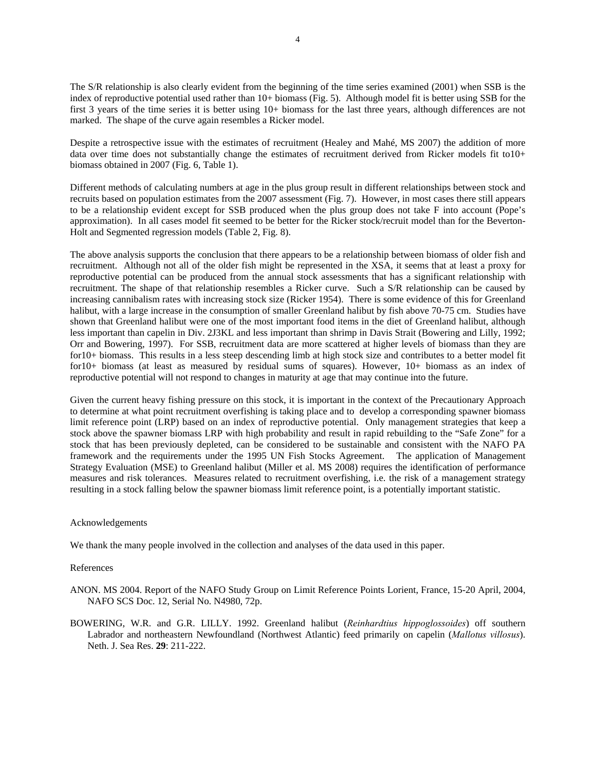The S/R relationship is also clearly evident from the beginning of the time series examined (2001) when SSB is the index of reproductive potential used rather than 10+ biomass (Fig. 5). Although model fit is better using SSB for the first 3 years of the time series it is better using 10+ biomass for the last three years, although differences are not marked. The shape of the curve again resembles a Ricker model.

Despite a retrospective issue with the estimates of recruitment (Healey and Mahé, MS 2007) the addition of more data over time does not substantially change the estimates of recruitment derived from Ricker models fit to10+ biomass obtained in 2007 (Fig. 6, Table 1).

Different methods of calculating numbers at age in the plus group result in different relationships between stock and recruits based on population estimates from the 2007 assessment (Fig. 7). However, in most cases there still appears to be a relationship evident except for SSB produced when the plus group does not take F into account (Pope's approximation). In all cases model fit seemed to be better for the Ricker stock/recruit model than for the Beverton-Holt and Segmented regression models (Table 2, Fig. 8).

The above analysis supports the conclusion that there appears to be a relationship between biomass of older fish and recruitment. Although not all of the older fish might be represented in the XSA, it seems that at least a proxy for reproductive potential can be produced from the annual stock assessments that has a significant relationship with recruitment. The shape of that relationship resembles a Ricker curve. Such a S/R relationship can be caused by increasing cannibalism rates with increasing stock size (Ricker 1954). There is some evidence of this for Greenland halibut, with a large increase in the consumption of smaller Greenland halibut by fish above 70-75 cm. Studies have shown that Greenland halibut were one of the most important food items in the diet of Greenland halibut, although less important than capelin in Div. 2J3KL and less important than shrimp in Davis Strait (Bowering and Lilly, 1992; Orr and Bowering, 1997). For SSB, recruitment data are more scattered at higher levels of biomass than they are for10+ biomass. This results in a less steep descending limb at high stock size and contributes to a better model fit for10+ biomass (at least as measured by residual sums of squares). However, 10+ biomass as an index of reproductive potential will not respond to changes in maturity at age that may continue into the future.

Given the current heavy fishing pressure on this stock, it is important in the context of the Precautionary Approach to determine at what point recruitment overfishing is taking place and to develop a corresponding spawner biomass limit reference point (LRP) based on an index of reproductive potential. Only management strategies that keep a stock above the spawner biomass LRP with high probability and result in rapid rebuilding to the "Safe Zone" for a stock that has been previously depleted, can be considered to be sustainable and consistent with the NAFO PA framework and the requirements under the 1995 UN Fish Stocks Agreement. The application of Management Strategy Evaluation (MSE) to Greenland halibut (Miller et al. MS 2008) requires the identification of performance measures and risk tolerances. Measures related to recruitment overfishing, i.e. the risk of a management strategy resulting in a stock falling below the spawner biomass limit reference point, is a potentially important statistic.

## Acknowledgements

We thank the many people involved in the collection and analyses of the data used in this paper.

# References

- ANON. MS 2004. Report of the NAFO Study Group on Limit Reference Points Lorient, France, 15-20 April, 2004, NAFO SCS Doc. 12, Serial No. N4980, 72p.
- BOWERING, W.R. and G.R. LILLY. 1992. Greenland halibut (*Reinhardtius hippoglossoides*) off southern Labrador and northeastern Newfoundland (Northwest Atlantic) feed primarily on capelin (*Mallotus villosus*). Neth. J. Sea Res. **29**: 211-222.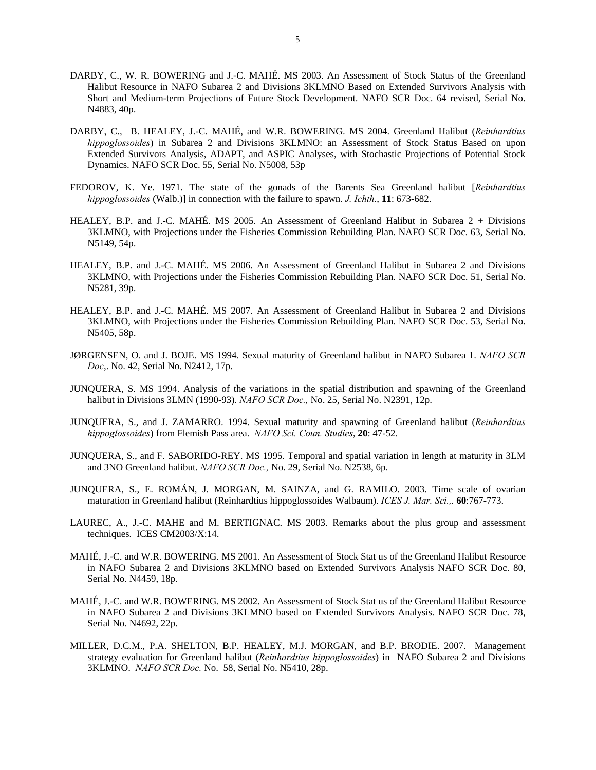- DARBY, C., W. R. BOWERING and J.-C. MAHÉ. MS 2003. An Assessment of Stock Status of the Greenland Halibut Resource in NAFO Subarea 2 and Divisions 3KLMNO Based on Extended Survivors Analysis with Short and Medium-term Projections of Future Stock Development. NAFO SCR Doc. 64 revised, Serial No. N4883, 40p.
- DARBY, C., B. HEALEY, J.-C. MAHÉ, and W.R. BOWERING. MS 2004. Greenland Halibut (*Reinhardtius hippoglossoides*) in Subarea 2 and Divisions 3KLMNO: an Assessment of Stock Status Based on upon Extended Survivors Analysis, ADAPT, and ASPIC Analyses, with Stochastic Projections of Potential Stock Dynamics. NAFO SCR Doc. 55, Serial No. N5008, 53p
- FEDOROV, K. Ye. 1971. The state of the gonads of the Barents Sea Greenland halibut [*Reinhardtius hippoglossoides* (Walb.)] in connection with the failure to spawn. *J. Ichth*., **11**: 673-682.
- HEALEY, B.P. and J.-C. MAHÉ. MS 2005. An Assessment of Greenland Halibut in Subarea 2 + Divisions 3KLMNO, with Projections under the Fisheries Commission Rebuilding Plan. NAFO SCR Doc. 63, Serial No. N5149, 54p.
- HEALEY, B.P. and J.-C. MAHÉ. MS 2006. An Assessment of Greenland Halibut in Subarea 2 and Divisions 3KLMNO, with Projections under the Fisheries Commission Rebuilding Plan. NAFO SCR Doc. 51, Serial No. N5281, 39p.
- HEALEY, B.P. and J.-C. MAHÉ. MS 2007. An Assessment of Greenland Halibut in Subarea 2 and Divisions 3KLMNO, with Projections under the Fisheries Commission Rebuilding Plan. NAFO SCR Doc. 53, Serial No. N5405, 58p.
- JØRGENSEN, O. and J. BOJE. MS 1994. Sexual maturity of Greenland halibut in NAFO Subarea 1. *NAFO SCR Doc*,. No. 42, Serial No. N2412, 17p.
- JUNQUERA, S. MS 1994. Analysis of the variations in the spatial distribution and spawning of the Greenland halibut in Divisions 3LMN (1990-93). *NAFO SCR Doc.,* No. 25, Serial No. N2391, 12p.
- JUNQUERA, S., and J. ZAMARRO. 1994. Sexual maturity and spawning of Greenland halibut (*Reinhardtius hippoglossoides*) from Flemish Pass area. *NAFO Sci. Coun. Studies*, **20**: 47-52.
- JUNQUERA, S., and F. SABORIDO-REY. MS 1995. Temporal and spatial variation in length at maturity in 3LM and 3NO Greenland halibut. *NAFO SCR Doc.,* No. 29, Serial No. N2538, 6p.
- JUNQUERA, S., E. ROMÁN, J. MORGAN, M. SAINZA, and G. RAMILO. 2003. Time scale of ovarian maturation in Greenland halibut (Reinhardtius hippoglossoides Walbaum). *ICES J. Mar. Sci.,.* **60**:767-773.
- LAUREC, A., J.-C. MAHE and M. BERTIGNAC. MS 2003. Remarks about the plus group and assessment techniques. ICES CM2003/X:14.
- MAHÉ, J.-C. and W.R. BOWERING. MS 2001. An Assessment of Stock Stat us of the Greenland Halibut Resource in NAFO Subarea 2 and Divisions 3KLMNO based on Extended Survivors Analysis NAFO SCR Doc. 80, Serial No. N4459, 18p.
- MAHÉ, J.-C. and W.R. BOWERING. MS 2002. An Assessment of Stock Stat us of the Greenland Halibut Resource in NAFO Subarea 2 and Divisions 3KLMNO based on Extended Survivors Analysis. NAFO SCR Doc. 78, Serial No. N4692, 22p.
- MILLER, D.C.M., P.A. SHELTON, B.P. HEALEY, M.J. MORGAN, and B.P. BRODIE. 2007. Management strategy evaluation for Greenland halibut (*Reinhardtius hippoglossoides*) in NAFO Subarea 2 and Divisions 3KLMNO. *NAFO SCR Doc.* No. 58, Serial No. N5410, 28p.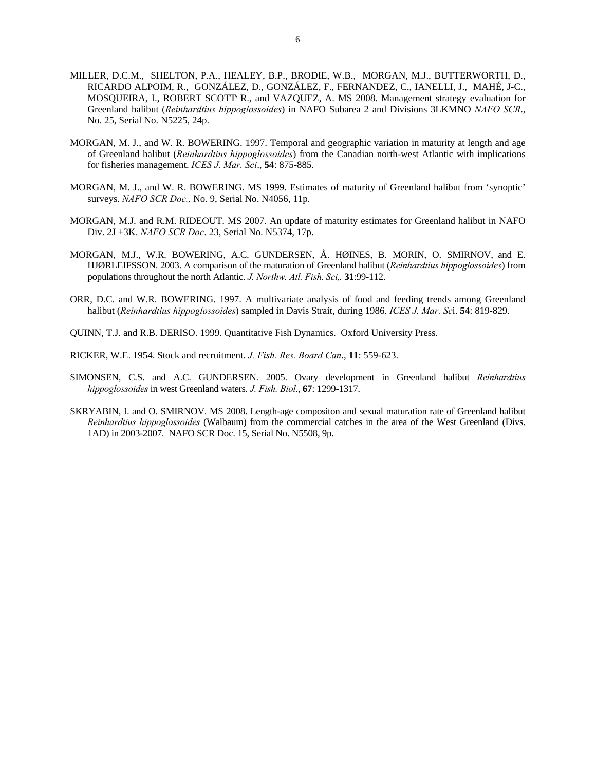- MILLER, D.C.M., SHELTON, P.A., HEALEY, B.P., BRODIE, W.B., MORGAN, M.J., BUTTERWORTH, D., RICARDO ALPOIM, R., GONZÁLEZ, D., GONZÁLEZ, F., FERNANDEZ, C., IANELLI, J., MAHÉ, J-C., MOSQUEIRA, I., ROBERT SCOTT R., and VAZQUEZ, A. MS 2008. Management strategy evaluation for Greenland halibut (*Reinhardtius hippoglossoides*) in NAFO Subarea 2 and Divisions 3LKMNO *NAFO SCR*., No. 25, Serial No. N5225, 24p.
- MORGAN, M. J., and W. R. BOWERING. 1997. Temporal and geographic variation in maturity at length and age of Greenland halibut (*Reinhardtius hippoglossoides*) from the Canadian north-west Atlantic with implications for fisheries management. *ICES J. Mar. Sci*., **54**: 875-885.
- MORGAN, M. J., and W. R. BOWERING. MS 1999. Estimates of maturity of Greenland halibut from 'synoptic' surveys. *NAFO SCR Doc.,* No. 9, Serial No. N4056, 11p.
- MORGAN, M.J. and R.M. RIDEOUT. MS 2007. An update of maturity estimates for Greenland halibut in NAFO Div. 2J +3K. *NAFO SCR Doc*. 23, Serial No. N5374, 17p.
- MORGAN, M.J., W.R. BOWERING, A.C. GUNDERSEN, Å. HØINES, B. MORIN, O. SMIRNOV, and E. HJØRLEIFSSON. 2003. A comparison of the maturation of Greenland halibut (*Reinhardtius hippoglossoides*) from populations throughout the north Atlantic. *J. Northw. Atl. Fish. Sci,.* **31**:99-112.
- ORR, D.C. and W.R. BOWERING. 1997. A multivariate analysis of food and feeding trends among Greenland halibut (*Reinhardtius hippoglossoides*) sampled in Davis Strait, during 1986. *ICES J. Mar. Sc*i. **54**: 819-829.
- QUINN, T.J. and R.B. DERISO. 1999. Quantitative Fish Dynamics. Oxford University Press.
- RICKER, W.E. 1954. Stock and recruitment. *J. Fish. Res. Board Can*., **11**: 559-623.
- SIMONSEN, C.S. and A.C. GUNDERSEN. 2005. Ovary development in Greenland halibut *Reinhardtius hippoglossoides* in west Greenland waters. *J. Fish. Biol*., **67**: 1299-1317.
- SKRYABIN, I. and O. SMIRNOV. MS 2008. Length-age compositon and sexual maturation rate of Greenland halibut *Reinhardtius hippoglossoides* (Walbaum) from the commercial catches in the area of the West Greenland (Divs. 1AD) in 2003-2007. NAFO SCR Doc. 15, Serial No. N5508, 9p.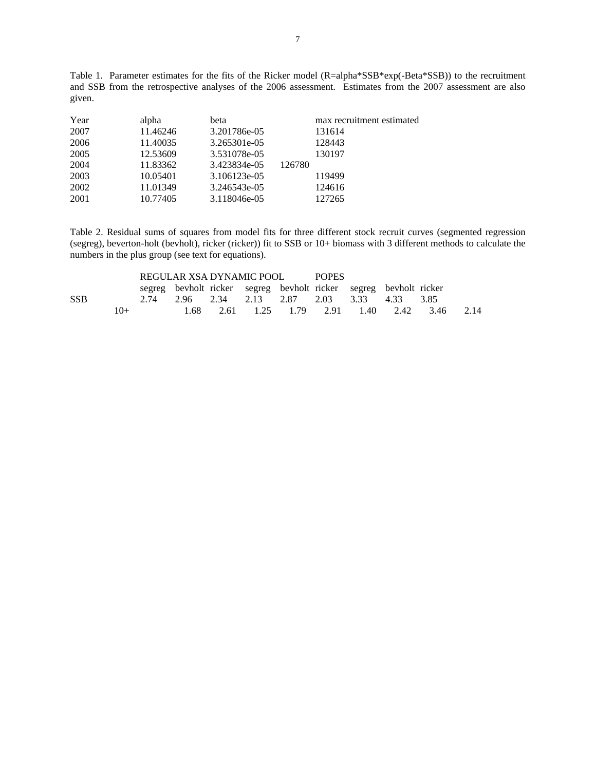Table 1. Parameter estimates for the fits of the Ricker model (R=alpha\*SSB\*exp(-Beta\*SSB)) to the recruitment and SSB from the retrospective analyses of the 2006 assessment. Estimates from the 2007 assessment are also given.

| Year | alpha    | beta         |        | max recruitment estimated |
|------|----------|--------------|--------|---------------------------|
| 2007 | 11.46246 | 3.201786e-05 |        | 131614                    |
| 2006 | 11.40035 | 3.265301e-05 |        | 128443                    |
| 2005 | 12.53609 | 3.531078e-05 |        | 130197                    |
| 2004 | 11.83362 | 3.423834e-05 | 126780 |                           |
| 2003 | 10.05401 | 3.106123e-05 |        | 119499                    |
| 2002 | 11.01349 | 3.246543e-05 |        | 124616                    |
| 2001 | 10.77405 | 3.118046e-05 |        | 127265                    |
|      |          |              |        |                           |

Table 2. Residual sums of squares from model fits for three different stock recruit curves (segmented regression (segreg), beverton-holt (bevholt), ricker (ricker)) fit to SSB or 10+ biomass with 3 different methods to calculate the numbers in the plus group (see text for equations).

|            |        | REGULAR XSA DYNAMIC POOL |  |  | <b>POPES</b> |  |  |                                                                   |                                         |      |
|------------|--------|--------------------------|--|--|--------------|--|--|-------------------------------------------------------------------|-----------------------------------------|------|
|            |        |                          |  |  |              |  |  | segreg bevholt ricker segreg bevholt ricker segreg bevholt ricker |                                         |      |
| <b>SSB</b> |        |                          |  |  |              |  |  | 2.74 2.96 2.34 2.13 2.87 2.03 3.33 4.33 3.85                      |                                         |      |
|            | $1()+$ |                          |  |  |              |  |  |                                                                   | 1.68 2.61 1.25 1.79 2.91 1.40 2.42 3.46 | 2.14 |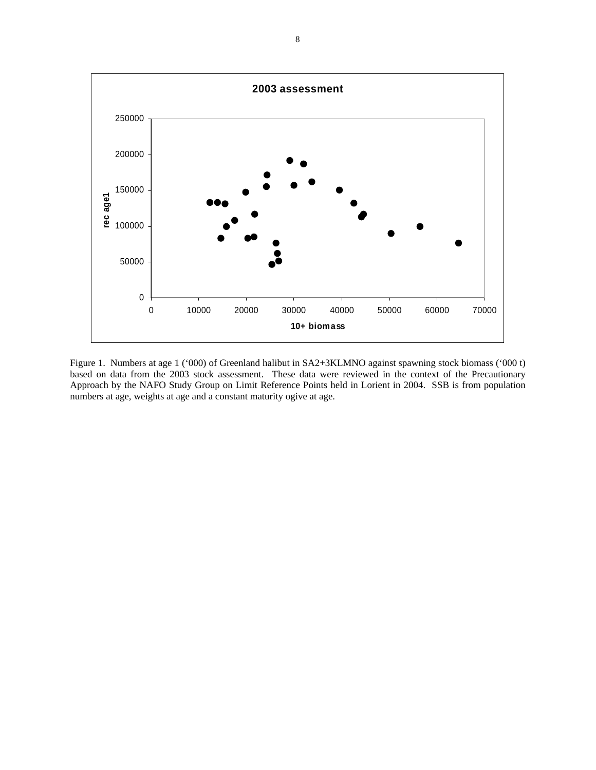

Figure 1. Numbers at age 1 ('000) of Greenland halibut in SA2+3KLMNO against spawning stock biomass ('000 t) based on data from the 2003 stock assessment. These data were reviewed in the context of the Precautionary Approach by the NAFO Study Group on Limit Reference Points held in Lorient in 2004. SSB is from population numbers at age, weights at age and a constant maturity ogive at age.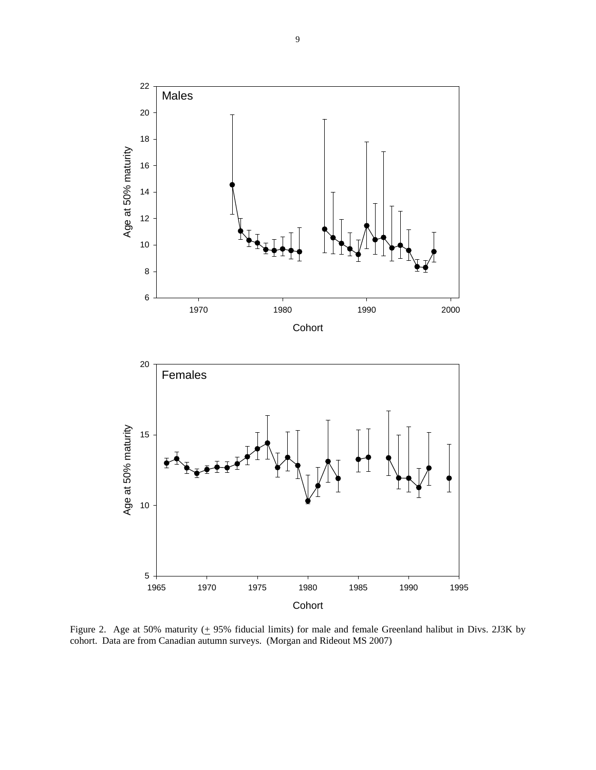

Figure 2. Age at 50% maturity  $(± 95%$  fiducial limits) for male and female Greenland halibut in Divs. 2J3K by cohort. Data are from Canadian autumn surveys. (Morgan and Rideout MS 2007)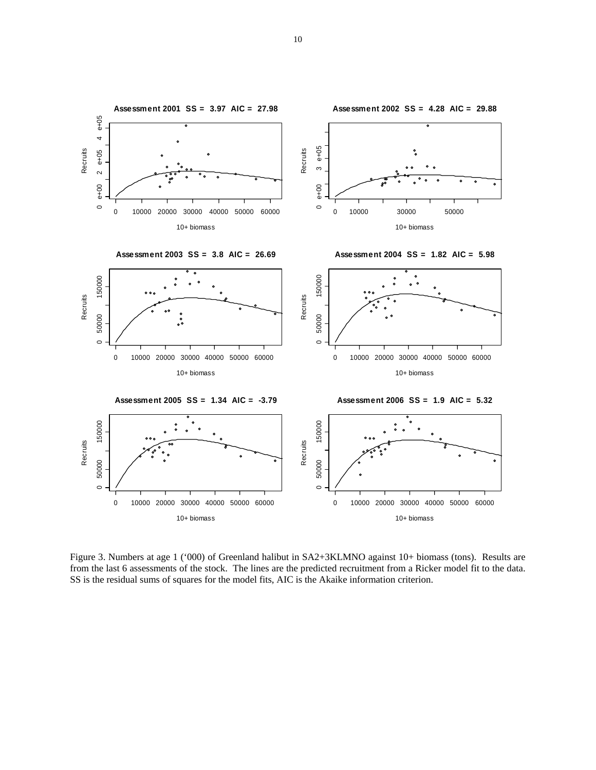

Figure 3. Numbers at age 1 ('000) of Greenland halibut in SA2+3KLMNO against 10+ biomass (tons). Results are from the last 6 assessments of the stock. The lines are the predicted recruitment from a Ricker model fit to the data. SS is the residual sums of squares for the model fits, AIC is the Akaike information criterion.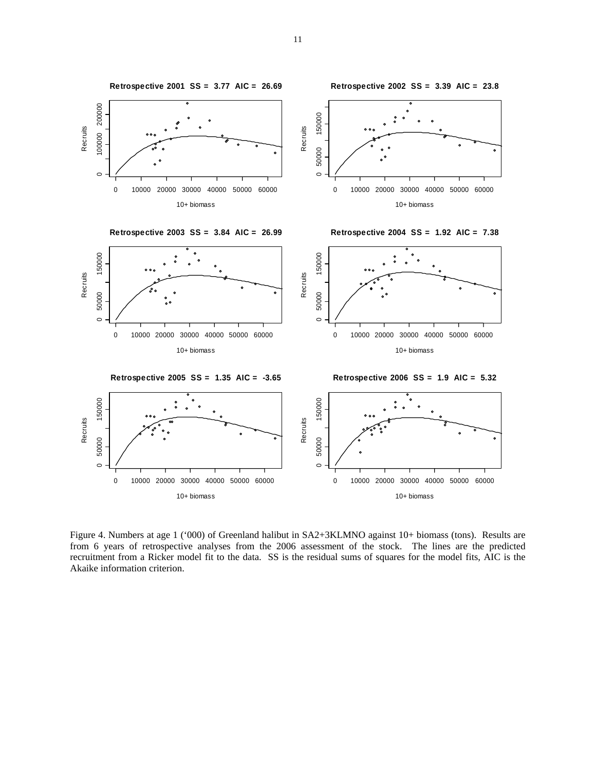

Figure 4. Numbers at age 1 ('000) of Greenland halibut in SA2+3KLMNO against 10+ biomass (tons). Results are from 6 years of retrospective analyses from the 2006 assessment of the stock. The lines are the predicted recruitment from a Ricker model fit to the data. SS is the residual sums of squares for the model fits, AIC is the Akaike information criterion.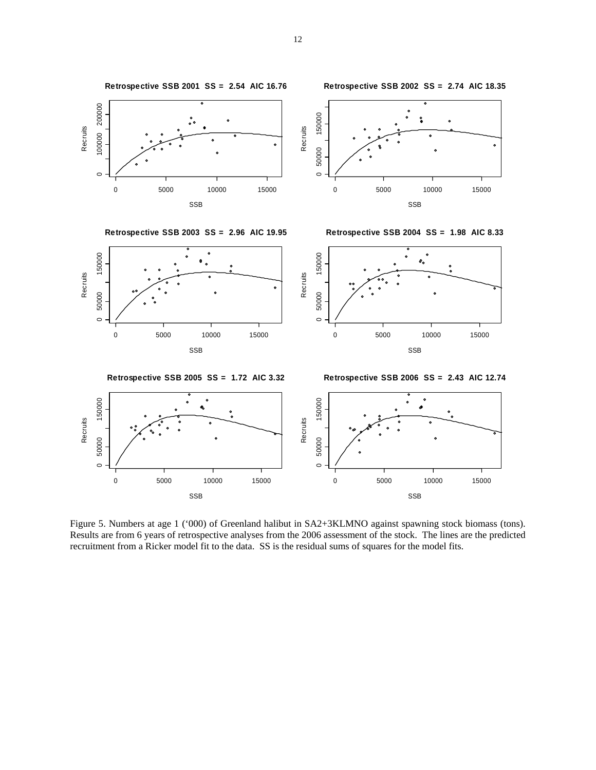

Figure 5. Numbers at age 1 ('000) of Greenland halibut in SA2+3KLMNO against spawning stock biomass (tons). Results are from 6 years of retrospective analyses from the 2006 assessment of the stock. The lines are the predicted recruitment from a Ricker model fit to the data. SS is the residual sums of squares for the model fits.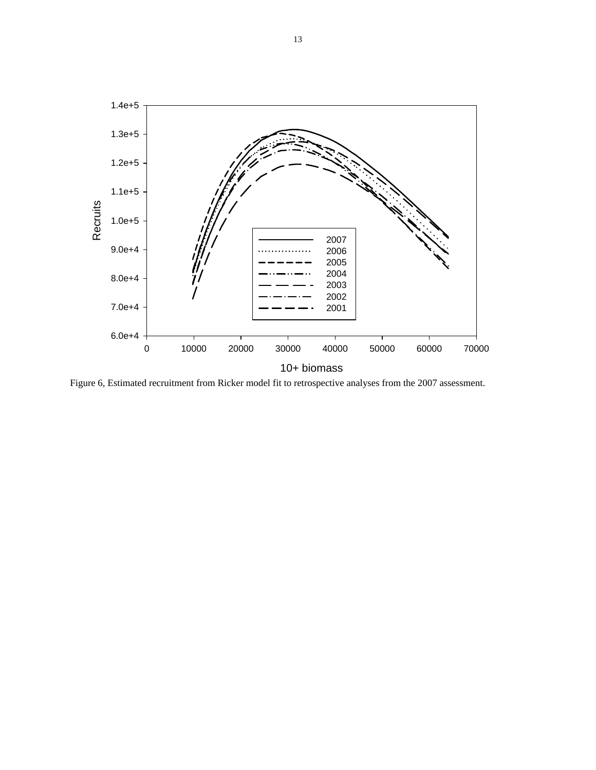

Figure 6, Estimated recruitment from Ricker model fit to retrospective analyses from the 2007 assessment.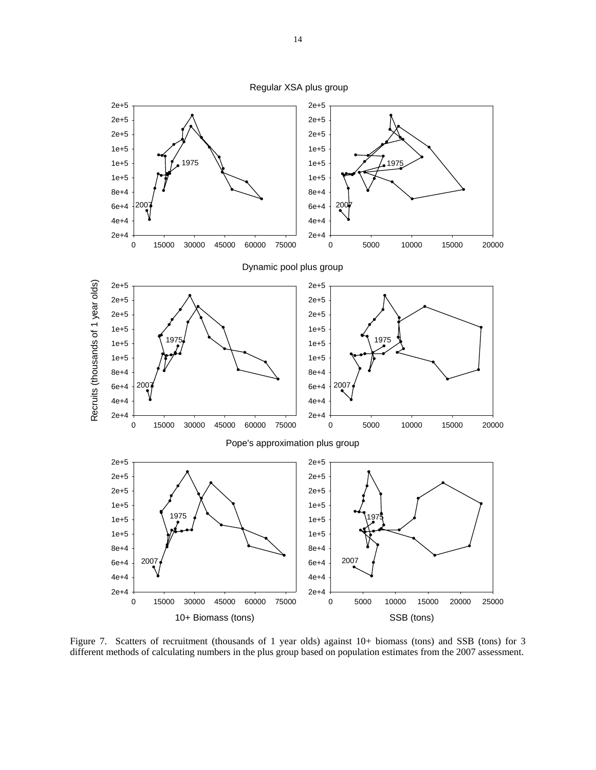Regular XSA plus group



Figure 7. Scatters of recruitment (thousands of 1 year olds) against 10+ biomass (tons) and SSB (tons) for 3 different methods of calculating numbers in the plus group based on population estimates from the 2007 assessment.